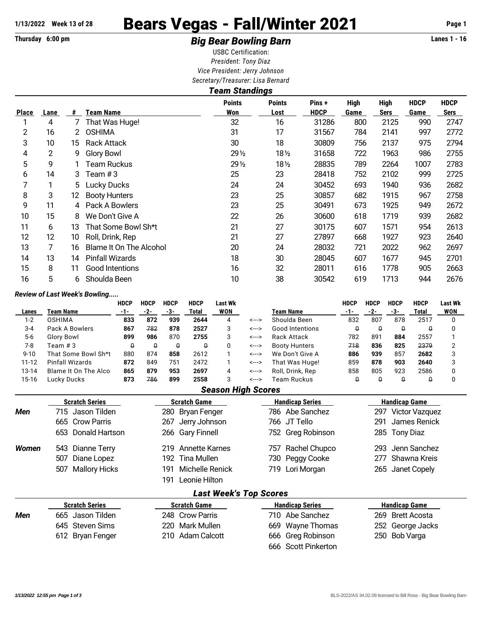# 1/13/2022 Week 13 of 28 **Bears Vegas - Fall/Winter 2021** Page 1

## Thursday 6:00 pm **Example 2 Constrained Big Bear Bowling Barn Example 2 Constrained Big Bear Bowling Barn**

USBC Certification: *President: Tony Diaz Vice President: Jerry Johnson Secretary/Treasurer: Lisa Bernard*

|              | <b>Team Standings</b> |     |                         |                      |                       |                       |                     |                            |                     |                     |  |  |  |  |
|--------------|-----------------------|-----|-------------------------|----------------------|-----------------------|-----------------------|---------------------|----------------------------|---------------------|---------------------|--|--|--|--|
| <b>Place</b> | Lane                  | #   | Team Name               | <b>Points</b><br>Won | <b>Points</b><br>Lost | Pins +<br><b>HDCP</b> | <b>High</b><br>Game | <b>High</b><br><b>Sers</b> | <b>HDCP</b><br>Game | <b>HDCP</b><br>Sers |  |  |  |  |
|              | 4                     |     | That Was Huge!          | 32                   | 16                    | 31286                 | 800                 | 2125                       | 990                 | 2747                |  |  |  |  |
| 2            | 16                    | 2   | <b>OSHIMA</b>           | 31                   | 17                    | 31567                 | 784                 | 2141                       | 997                 | 2772                |  |  |  |  |
| 3            | 10                    | 15. | <b>Rack Attack</b>      | 30                   | 18                    | 30809                 | 756                 | 2137                       | 975                 | 2794                |  |  |  |  |
| 4            | $\overline{c}$        | 9   | <b>Glory Bowl</b>       | $29\frac{1}{2}$      | $18\frac{1}{2}$       | 31658                 | 722                 | 1963                       | 986                 | 2755                |  |  |  |  |
| 5            | 9                     |     | Team Ruckus             | $29\frac{1}{2}$      | $18\frac{1}{2}$       | 28835                 | 789                 | 2264                       | 1007                | 2783                |  |  |  |  |
| 6            | 14                    | 3   | Team $#3$               | 25                   | 23                    | 28418                 | 752                 | 2102                       | 999                 | 2725                |  |  |  |  |
| 7            |                       | 5.  | Lucky Ducks             | 24                   | 24                    | 30452                 | 693                 | 1940                       | 936                 | 2682                |  |  |  |  |
| 8            | 3                     | 12. | <b>Booty Hunters</b>    | 23                   | 25                    | 30857                 | 682                 | 1915                       | 967                 | 2758                |  |  |  |  |
| 9            | 11                    | 4   | Pack A Bowlers          | 23                   | 25                    | 30491                 | 673                 | 1925                       | 949                 | 2672                |  |  |  |  |
| 10           | 15                    | 8   | We Don't Give A         | 22                   | 26                    | 30600                 | 618                 | 1719                       | 939                 | 2682                |  |  |  |  |
| 11           | 6                     | 13  | That Some Bowl Sh*t     | 21                   | 27                    | 30175                 | 607                 | 1571                       | 954                 | 2613                |  |  |  |  |
| 12           | 12                    | 10  | Roll, Drink, Rep        | 21                   | 27                    | 27897                 | 668                 | 1927                       | 923                 | 2640                |  |  |  |  |
| 13           |                       | 16  | Blame It On The Alcohol | 20                   | 24                    | 28032                 | 721                 | 2022                       | 962                 | 2697                |  |  |  |  |
| 14           | 13                    | 14  | <b>Pinfall Wizards</b>  | 18                   | 30                    | 28045                 | 607                 | 1677                       | 945                 | 2701                |  |  |  |  |
| 15           | 8                     | 11  | Good Intentions         | 16                   | 32                    | 28011                 | 616                 | 1778                       | 905                 | 2663                |  |  |  |  |
| 16           | 5                     | 6   | Shoulda Been            | 10                   | 38                    | 30542                 | 619                 | 1713                       | 944                 | 2676                |  |  |  |  |

#### *Review of Last Week's Bowling.....*

|           |                      | <b>HDCP</b> | <b>HDCP</b> | <b>HDCP</b> | <b>HDCP</b> | Last Wk |       |                        | HDCP | HDCP | <b>HDCP</b> | <b>HDCP</b> | <b>Last Wk</b> |
|-----------|----------------------|-------------|-------------|-------------|-------------|---------|-------|------------------------|------|------|-------------|-------------|----------------|
| Lanes     | Team Name            | -1-         | -2-         | -3-         | Total       | WON     |       | Team Name              |      | -2-  | -3-         | Total       | <b>WON</b>     |
| $1 - 2$   | OSHIMA               | 833         | 872         | 939         | 2644        | 4       | <---> | Shoulda Been           | 832  | 807  | 878         | 2517        |                |
| $3 - 4$   | Pack A Bowlers       | 867         | 782         | 878         | 2527        |         | <---> | <b>Good Intentions</b> |      |      |             |             |                |
| $5-6$     | Glory Bowl           | 899         | 986         | 870         | 2755        | 3       | <---> | Rack Attack            | 782  | 891  | 884         | 2557        |                |
| 7-8       | Team # 3             | Û           | O           | Q           | û           |         | <---> | <b>Booty Hunters</b>   | 718  | 836  | 825         | 2379        |                |
| $9 - 10$  | That Some Bowl Sh*t  | 880         | 874         | 858         | 2612        |         | <---> | We Don't Give A        | 886  | 939  | 857         | 2682        |                |
| $11 - 12$ | Pinfall Wizards      | 872         | 849         | 751         | 2472        |         | <---> | That Was Huge!         | 859  | 878  | 903         | 2640        |                |
| 13-14     | Blame It On The Alco | 865         | 879         | 953         | 2697        | 4       | <---> | Roll, Drink, Rep.      | 858  | 805  | 923         | 2586        |                |
| 15-16     | Luckv Ducks          | 873         | 786         | 899         | 2558        |         | <---> | Team Ruckus            |      |      |             |             |                |

### *Season High Scores*

|              | <b>Scratch Series</b> | <b>Scratch Game</b>           | <b>Handicap Series</b> | <b>Handicap Game</b>         |  |  |  |  |
|--------------|-----------------------|-------------------------------|------------------------|------------------------------|--|--|--|--|
| Men          | 715 Jason Tilden      | 280 Bryan Fenger              | 786 Abe Sanchez        | <b>Victor Vazquez</b><br>297 |  |  |  |  |
|              | 665 Crow Parris       | Jerry Johnson<br>267          | 766 JT Tello           | James Renick<br>291          |  |  |  |  |
|              | 653 Donald Hartson    | 266 Gary Finnell              | 752 Greg Robinson      | 285 Tony Diaz                |  |  |  |  |
| <b>Women</b> | 543 Dianne Terry      | 219 Annette Karnes            | Rachel Chupco<br>757   | Jenn Sanchez<br>293.         |  |  |  |  |
|              | Diane Lopez<br>507    | Tina Mullen<br>192.           | 730 Peggy Cooke        | Shawna Kreis<br>277          |  |  |  |  |
|              | Mallory Hicks<br>507  | Michelle Renick<br>191        | 719 Lori Morgan        | 265 Janet Copely             |  |  |  |  |
|              |                       | Leonie Hilton<br>191          |                        |                              |  |  |  |  |
|              |                       | <b>Last Week's Top Scores</b> |                        |                              |  |  |  |  |
|              | <b>Scratch Series</b> | <b>Scratch Game</b>           | <b>Handicap Series</b> | <b>Handicap Game</b>         |  |  |  |  |
| - -          | ---                   |                               |                        |                              |  |  |  |  |

|     | scratch series   | scratch Game     | <b>Hangicap Series</b> | <b>Handicap Game</b> |
|-----|------------------|------------------|------------------------|----------------------|
| Men | 665 Jason Tilden | 248 Crow Parris  | 710 Abe Sanchez        | 269 Brett Acosta     |
|     | 645 Steven Sims  | 220 Mark Mullen  | 669 Wayne Thomas       | 252 George Jacks     |
|     | 612 Bryan Fenger | 210 Adam Calcott | 666 Greg Robinson      | 250 Bob Varga        |
|     |                  |                  | 666 Scott Pinkerton    |                      |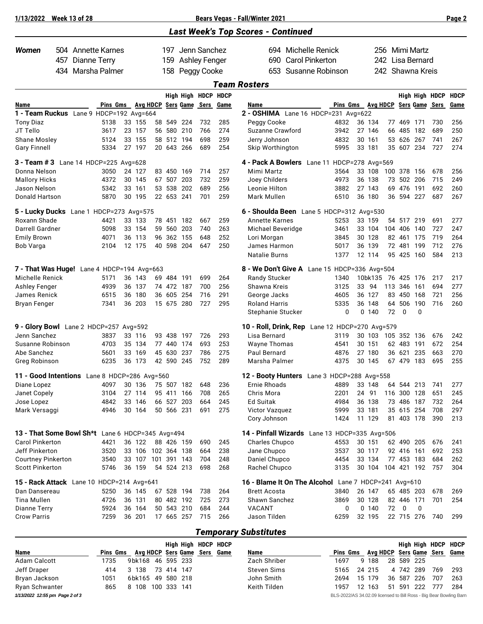| 1/13/2022                                           |     | <b>Week 13 of 28</b> |                                       |                              |                  |             |               |                     | <b>Bears Vegas - Fall/Winter 2021</b>                |                        |                   |                    |     |                          |                  |                | Page 2      |
|-----------------------------------------------------|-----|----------------------|---------------------------------------|------------------------------|------------------|-------------|---------------|---------------------|------------------------------------------------------|------------------------|-------------------|--------------------|-----|--------------------------|------------------|----------------|-------------|
|                                                     |     |                      |                                       |                              |                  |             |               |                     | <b>Last Week's Top Scores - Continued</b>            |                        |                   |                    |     |                          |                  |                |             |
| Women                                               |     |                      | 504 Annette Karnes                    |                              | 197.             |             | Jenn Sanchez  |                     | 694 Michelle Renick                                  |                        |                   | 256 Mimi Martz     |     |                          |                  |                |             |
|                                                     | 457 | <b>Dianne Terry</b>  |                                       |                              | 159              |             | Ashley Fenger |                     | 690                                                  | <b>Carol Pinkerton</b> |                   | 242.               |     |                          | Lisa Bernard     |                |             |
|                                                     | 434 |                      | Marsha Palmer                         |                              | 158              |             | Peggy Cooke   |                     | 653                                                  | Susanne Robinson       |                   |                    |     |                          | 242 Shawna Kreis |                |             |
|                                                     |     |                      |                                       |                              |                  |             |               |                     | <b>Team Rosters</b>                                  |                        |                   |                    |     |                          |                  |                |             |
|                                                     |     |                      |                                       |                              |                  |             |               | High High HDCP HDCP |                                                      |                        |                   |                    |     |                          |                  | High High HDCP | <b>HDCP</b> |
| Name                                                |     |                      | Pins Gms Avg HDCP Sers Game Sers Game |                              |                  |             |               |                     | Name                                                 |                        | Pins Gms Avg HDCP |                    |     |                          |                  | Sers Game Sers | Game        |
| 1 - Team Ruckus Lane 9 HDCP=192 Avg=664             |     |                      |                                       |                              |                  |             |               |                     | 2 - OSHIMA Lane 16 HDCP=231 Avg=622                  |                        |                   |                    |     |                          |                  |                |             |
| <b>Tony Diaz</b>                                    |     |                      | 5138                                  | 33 155                       | 58 549           | -224        | 732           | 285                 | Peggy Cooke                                          | 4832                   |                   | 36 134             |     | 77 469                   | 171              | 730            | 256         |
| JT Tello                                            |     |                      | 3617                                  | 23 157                       | 56 580           | 210         | 766           | 274                 | Suzanne Crawford                                     | 3942                   |                   | 27 146             |     | 66 485 182               |                  | 689            | 250         |
| Shane Mosley                                        |     |                      | 5124                                  | 33 155                       |                  | 58 512 194  | 698           | 259                 | Jerry Johnson                                        | 4832                   |                   | 30 161             |     | 53 626 267               |                  | 741            | 267         |
| <b>Gary Finnell</b>                                 |     |                      | 5334                                  | 27 197                       | 20 643           | 266         | 689           | 254                 | Skip Worthington                                     | 5995                   |                   | 33 181             |     | 35 607 234               |                  | 727            | 274         |
| 3 - Team # 3 Lane 14 HDCP=225 Avg=628               |     |                      |                                       |                              |                  |             |               |                     | 4 - Pack A Bowlers Lane 11 HDCP=278 Avg=569          |                        |                   |                    |     |                          |                  |                |             |
| Donna Nelson                                        |     |                      | 3050                                  | 24 127                       | 83 450           | 169         | 714           | 257                 | Mimi Martz                                           | 3564                   |                   | 33 108             | 100 | 378                      | 156              | 678            | 256         |
| <b>Mallory Hicks</b>                                |     |                      | 4372                                  | 30 145                       | 67 507           | 203         | 732           | 259                 | Joey Childers                                        | 4973                   |                   | 36 138             |     | 73 502 206               |                  | 715            | 249         |
| Jason Nelson                                        |     |                      | 5342                                  | 33 161<br>30 195             | 53 538           | 202         | 689<br>701    | 256                 | Leonie Hilton                                        | 3882                   |                   | 27 143             |     | 69 476 191               |                  | 692            | 260         |
| <b>Donald Hartson</b>                               |     |                      | 5870                                  |                              | 22 653           | 241         |               | 259                 | Mark Mullen                                          | 6510                   |                   | 36 180             |     | 36 594 227               |                  | 687            | 267         |
| 5 - Lucky Ducks Lane 1 HDCP=273 Avg=575             |     |                      |                                       |                              |                  |             |               |                     | 6 - Shoulda Been Lane 5 HDCP=312 Avg=530             |                        |                   |                    |     |                          |                  |                |             |
| Roxann Shade                                        |     |                      | 4421                                  | 33 133                       |                  | 78 451 182  | 667           | 259                 | <b>Annette Karnes</b>                                | 5253                   |                   | 33 159             |     | 54 517 219               |                  | 691            | 277         |
| Darrell Gardner                                     |     |                      | 5098                                  | 33 154                       | 59 560           | 203         | 740           | 263                 | Michael Beveridge                                    | 3461                   |                   | 33 104             |     | 104 406                  | 140              | 727            | 247         |
| <b>Emily Brown</b><br>Bob Varga                     |     |                      | 4071<br>2104                          | 36 113<br>12 175             | 96 362<br>40 598 | 155<br>204  | 648<br>647    | 252<br>250          | Lori Morgan<br>James Harmon                          | 3845<br>5017           |                   | 30 128<br>36 139   |     | 82 461<br>72 481         | 175<br>199       | 719<br>712     | 264<br>276  |
|                                                     |     |                      |                                       |                              |                  |             |               |                     | <b>Natalie Burns</b>                                 | 1377                   |                   | 12 114             |     | 95 425                   | 160              | 584            | 213         |
| 7 - That Was Huge! Lane 4 HDCP=194 Avg=663          |     |                      |                                       |                              |                  |             |               |                     | 8 - We Don't Give A Lane 15 HDCP=336 Avg=504         |                        |                   |                    |     |                          |                  |                |             |
| Michelle Renick                                     |     |                      | 5171                                  | 36 143                       |                  | 69 484 191  | 699           | 264                 | Randy Stucker                                        | 1340                   |                   | 10bk135 76 425 176 |     |                          |                  | 217            | 217         |
| <b>Ashley Fenger</b>                                |     |                      | 4939                                  | 36 137                       |                  | 74 472 187  | 700           | 256                 | Shawna Kreis                                         | 3125                   |                   | 33 94              |     | 113 346 161              |                  | 694            | 277         |
| James Renick                                        |     |                      | 6515                                  | 36 180                       | 36 605           | 254         | 716           | 291                 | George Jacks                                         | 4605                   |                   | 36 127             |     | 83 450 168               |                  | 721            | 256         |
| Bryan Fenger                                        |     |                      | 7341                                  | 36 203                       |                  | 15 675 280  | 727           | 295                 | <b>Roland Harris</b>                                 | 5335                   | 36                | 148                |     | 64 506                   | 190              | 716            | 260         |
|                                                     |     |                      |                                       |                              |                  |             |               |                     | Stephanie Stucker                                    | 0                      |                   | 0, 140             | 72  | $\mathbf 0$              | 0                |                |             |
| 9 - Glory Bowl Lane 2 HDCP=257 Avg=592              |     |                      |                                       |                              |                  |             |               |                     | 10 - Roll, Drink, Rep Lane 12 HDCP=270 Avg=579       |                        |                   |                    |     |                          |                  |                |             |
| Jenn Sanchez                                        |     |                      | 3837                                  | 33 116                       | 93 438           | 197         | 726           | 293                 | Lisa Bernard                                         | 3119                   |                   | 30 103             |     | 105 352 136              |                  | 676            | 242         |
| Susanne Robinson                                    |     |                      | 4703                                  | 35 134                       | 77 440           | 174         | 693           | 253                 | <b>Wayne Thomas</b>                                  | 4541                   |                   | 30 151             |     | 62 483 191               |                  | 672            | 254         |
| Abe Sanchez                                         |     |                      | 5601                                  | 33 169                       | 45 630           | 237         | 786           | 275                 | Paul Bernard                                         | 4876                   | 27                | 180                |     | 36 621                   | 235              | 663            | 270         |
| Greg Robinson                                       |     |                      | 6235                                  | 36 173                       | 42 590           | 245         | 752           | 289                 | Marsha Palmer                                        | 4375                   |                   | 30 145             |     | 67 479                   | 183              | 695            | 255         |
| 11 - Good Intentions Lane 8 HDCP=286 Avg=560        |     |                      |                                       |                              |                  |             |               |                     | 12 - Booty Hunters Lane 3 HDCP=288 Avg=558           |                        |                   |                    |     |                          |                  |                |             |
| Diane Lopez                                         |     |                      | 4097                                  | 30 136                       |                  | 75 507 182  | 648           | 236                 | <b>Ernie Rhoads</b>                                  | 4889                   |                   | 33 148             |     | 64 544 213               |                  | 741            | 277         |
| Janet Copely                                        |     |                      | 3104                                  | 27 114                       |                  | 95 411 166  | 708           | 265                 | Chris Mora                                           | 2201                   |                   | 24 91              |     | 116 300 128              |                  | 651            | 245         |
| Jose Lopez                                          |     |                      | 4842                                  | 33 146                       |                  | 66 527 203  | 664           | 245                 | Ed Suitak                                            | 4984                   |                   | 36 138             |     | 73 486 187               |                  | 732            | 264         |
| Mark Versaggi                                       |     |                      | 4946                                  | 30 164                       |                  | 50 566 231  | 691           | 275                 | Victor Vazquez<br>Cory Johnson                       | 5999<br>1424           |                   | 33 181<br>11 129   |     | 35 615 254<br>81 403 178 |                  | 708<br>390     | 297<br>213  |
|                                                     |     |                      |                                       |                              |                  |             |               |                     |                                                      |                        |                   |                    |     |                          |                  |                |             |
| 13 - That Some Bowl Sh*t Lane 6 HDCP=345 Avg=494    |     |                      |                                       |                              |                  |             |               |                     | 14 - Pinfall Wizards Lane 13 HDCP=335 Avg=506        |                        |                   |                    |     |                          |                  |                |             |
| <b>Carol Pinkerton</b>                              |     |                      | 4421                                  | 36 122                       |                  | 88 426 159  | 690           | 245                 | Charles Chupco                                       | 4553                   |                   | 30 151             |     | 62 490 205               |                  | 676            | 241         |
| Jeff Pinkerton                                      |     |                      | 3520<br>3540                          | 33 106<br>33 107 101 391 143 |                  | 102 364 138 | 664<br>704    | 238<br>248          | Jane Chupco<br>Daniel Chupco                         | 3537<br>4454           |                   | 30 117<br>33 134   |     | 92 416 161<br>77 453 183 |                  | 692<br>684     | 253<br>262  |
| <b>Courtney Pinkerton</b><br><b>Scott Pinkerton</b> |     |                      | 5746                                  | 36 159                       |                  | 54 524 213  | 698           | 268                 | Rachel Chupco                                        | 3135                   |                   | 30 104             |     |                          | 104 421 192      | 757            | 304         |
| 15 - Rack Attack Lane 10 HDCP=214 Avg=641           |     |                      |                                       |                              |                  |             |               |                     | 16 - Blame It On The Alcohol Lane 7 HDCP=241 Avg=610 |                        |                   |                    |     |                          |                  |                |             |
| Dan Dansereau                                       |     |                      | 5250                                  | 36 145                       |                  | 67 528 194  | 738           | 264                 | <b>Brett Acosta</b>                                  | 3840                   |                   | 26 147             |     | 65 485 203               |                  | 678            | 269         |
| Tina Mullen                                         |     |                      | 4726                                  | 36 131                       |                  | 80 482 192  | 725           | 273                 | Shawn Sanchez                                        | 3869                   |                   | 30 128             |     | 82 446 171               |                  | 701            | 254         |
| Dianne Terry                                        |     |                      | 5924                                  | 36 164                       |                  | 50 543 210  | 684           | 244                 | VACANT                                               | 0                      |                   | 0,140              | 72  | 0                        | 0                |                |             |
| <b>Crow Parris</b>                                  |     |                      | 7259                                  | 36 201                       |                  | 17 665 257  | 715           | 266                 | Jason Tilden                                         | 6259                   |                   | 32 195             |     | 22 715 276               |                  | 740            | 299         |
|                                                     |     |                      |                                       |                              |                  |             |               |                     |                                                      |                        |                   |                    |     |                          |                  |                |             |
|                                                     |     |                      |                                       |                              |                  |             |               |                     | <b>Temporary Substitutes</b>                         |                        |                   |                    |     |                          |                  |                |             |

|                                |          |                   |            |  | High High HDCP HDCP          |              |                                                                    |                 |        |    |     |            |     | High High HDCP HDCP          |
|--------------------------------|----------|-------------------|------------|--|------------------------------|--------------|--------------------------------------------------------------------|-----------------|--------|----|-----|------------|-----|------------------------------|
| <b>Name</b>                    | Pins Gms |                   |            |  | Avg HDCP Sers Game Sers Game | Name         | Pins Gms                                                           |                 |        |    |     |            |     | Avg HDCP Sers Game Sers Game |
| Adam Calcott                   | 1735     | 9bk168 46 595 233 |            |  |                              | Zach Shriber | 1697                                                               |                 | 9 188  |    |     | 28 589 225 |     |                              |
| Jeff Draper                    | 414      | 3 138             | 73 414 147 |  |                              | Steven Sims  | 5165                                                               |                 | 24 215 |    |     | 4 742 289  | 769 | 293                          |
| Bryan Jackson                  | 1051     | 6bk165 49 580 218 |            |  |                              | John Smith   | 2694                                                               |                 | 15 179 | 36 | 587 | 226        | 707 | 263                          |
| Ryan Schwanter                 | 865      | 8 108 100 333 141 |            |  |                              | Keith Tilden | 1957                                                               | 12 <sup>°</sup> | 163    | 51 | 591 | 222        | 777 | 284                          |
| 1/13/2022 12:55 pm Page 2 of 3 |          |                   |            |  |                              |              | BLS-2022/AS 34.02.09 licensed to Bill Ross - Big Bear Bowling Barn |                 |        |    |     |            |     |                              |